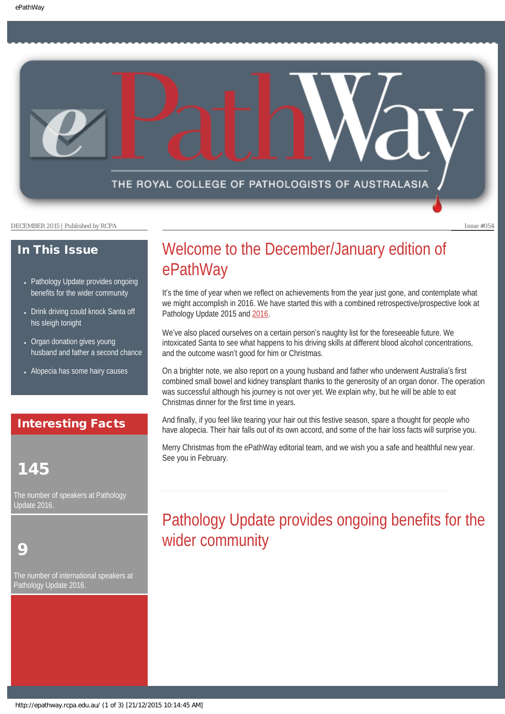THE ROYAL COLLEGE OF PATHOLOGISTS OF AUSTRALASIA

DECEMBER 2015 | Published by RCPA Issue #054

### In This Issue

- [Pathology Update provides ongoing](#page-0-0) [benefits for the wider community](#page-0-0)
- Drink driving could knock Santa off [his sleigh tonight](#page-1-0)
- Organ donation gives young [husband and father a second chance](#page-2-0)
- [Alopecia has some hairy causes](#page-2-1)

## Interesting Facts

## 145

<span id="page-0-0"></span>The number of speakers at Pathology Update 2016.

## 9

The number of international speakers at Pathology Update 2016.

# Welcome to the December/January edition of ePathWay

It's the time of year when we reflect on achievements from the year just gone, and contemplate what we might accomplish in 2016. We have started this with a combined retrospective/prospective look at Pathology Update 2015 and [2016.](https://www.rcpa.edu.au/Events/Pathology-Update/Reg-Prog)

We've also placed ourselves on a certain person's naughty list for the foreseeable future. We intoxicated Santa to see what happens to his driving skills at different blood alcohol concentrations, and the outcome wasn't good for him or Christmas.

On a brighter note, we also report on a young husband and father who underwent Australia's first combined small bowel and kidney transplant thanks to the generosity of an organ donor. The operation was successful although his journey is not over yet. We explain why, but he will be able to eat Christmas dinner for the first time in years.

And finally, if you feel like tearing your hair out this festive season, spare a thought for people who have alopecia. Their hair falls out of its own accord, and some of the hair loss facts will surprise you.

Merry Christmas from the ePathWay editorial team, and we wish you a safe and healthful new year. See you in February.

# Pathology Update provides ongoing benefits for the wider community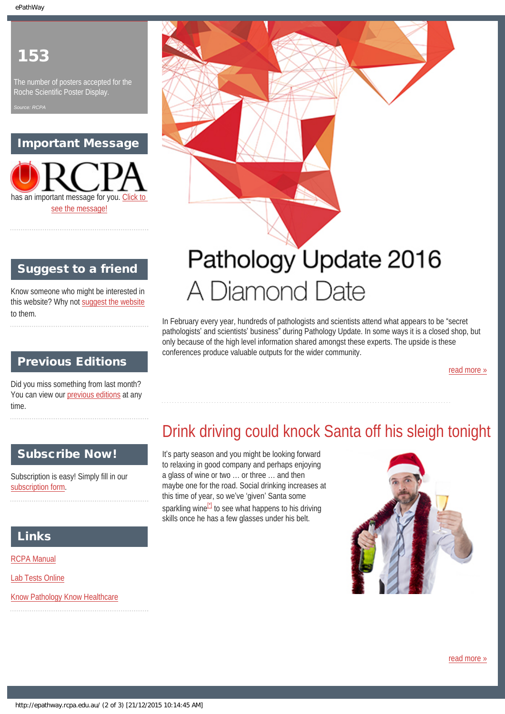## 153

The number of posters accepted for the Roche Scientific Poster Display.

*Source: RCPA*

## Important Message

has an important message for you. [Click to](http://epathway.rcpa.edu.au/notice.html)  [see the message!](http://epathway.rcpa.edu.au/notice.html)

## Suggest to a friend

Know someone who might be interested in this website? Why not [suggest the website](mailto:?Subject=I%20think%20you%20should%20read%20this%20Newsletter=
http://epathway.rcpa.edu.au/index.html) to them.

## Previous Editions

Did you miss something from last month? You can view our [previous editions](#page-3-0) at any time.

## <span id="page-1-0"></span>Subscribe Now!

Subscription is easy! Simply fill in our [subscription form](http://epathway.rcpa.edu.au/subscription.html).

## Links

[RCPA Manual](http://rcpamanual.edu.au/)

[Lab Tests Online](http://www.labtestsonline.org.au/)

[Know Pathology Know Healthcare](http://knowpathology.com.au/)



# A Diamond Date

In February every year, hundreds of pathologists and scientists attend what appears to be "secret pathologists' and scientists' business" during Pathology Update. In some ways it is a closed shop, but only because of the high level information shared amongst these experts. The upside is these conferences produce valuable outputs for the wider community.

[read more »](#page-5-0)

# Drink driving could knock Santa off his sleigh tonight

It's party season and you might be looking forward to relaxing in good company and perhaps enjoying a glass of wine or two … or three … and then maybe one for the road. Social drinking increases at this time of year, so we've 'given' Santa some sparkling wine $\mathbb{Z}$  to see what happens to his driving skills once he has a few glasses under his belt.

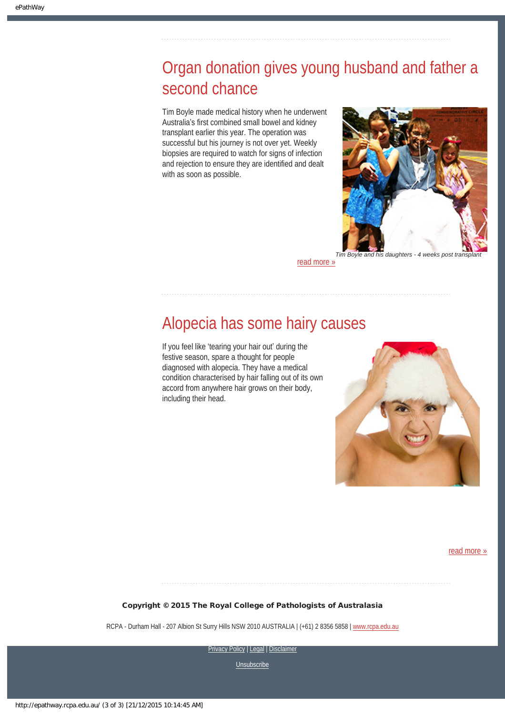# <span id="page-2-0"></span>Organ donation gives young husband and father a second chance

Tim Boyle made medical history when he underwent Australia's first combined small bowel and kidney transplant earlier this year. The operation was successful but his journey is not over yet. Weekly biopsies are required to watch for signs of infection and rejection to ensure they are identified and dealt with as soon as possible.



[read more »](#page-9-0)

## <span id="page-2-1"></span>Alopecia has some hairy causes

If you feel like 'tearing your hair out' during the festive season, spare a thought for people diagnosed with alopecia. They have a medical condition characterised by hair falling out of its own accord from anywhere hair grows on their body, including their head.



[read more »](#page-11-0)

#### Copyright © 2015 The Royal College of Pathologists of Australasia

RCPA - Durham Hall - 207 Albion St Surry Hills NSW 2010 AUSTRALIA | (+61) 2 8356 5858 | [www.rcpa.edu.au](https://www.rcpa.edu.au/)

[Privacy Policy](https://www.rcpa.edu.au/Privacy-Policy.aspx) | [Legal](https://www.rcpa.edu.au/Legal.aspx) | Disclaimer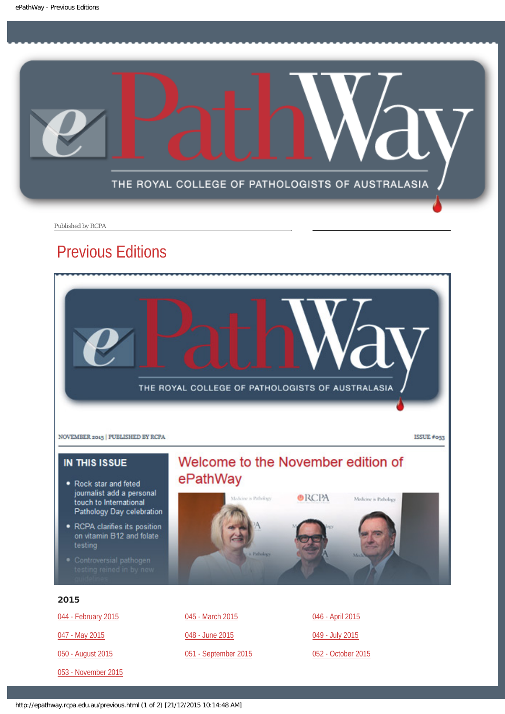<span id="page-3-0"></span>

Published by RCPA

## Previous Editions



#### IN THIS ISSUE

- Rock star and feted journalist add a personal touch to International Pathology Day celebration
- RCPA clarifies its position on vitamin B12 and folate testing
- 

## Welcome to the November edition of ePathWay



#### 2015

[044 - February 2015](http://epathway.rcpa.edu.au/previous/044_0215.pdf) [047 - May 2015](http://epathway.rcpa.edu.au/previous/047_0515.pdf) [050 - August 2015](http://epathway.rcpa.edu.au/previous/050_0815.pdf) [053 - November 2015](http://epathway.rcpa.edu.au/previous/053_1115.pdf) [045 - March 2015](http://epathway.rcpa.edu.au/previous/045_0315.pdf) [048 - June 2015](http://epathway.rcpa.edu.au/previous/048_0615.pdf) [051 - September 2015](http://epathway.rcpa.edu.au/previous/051_0915.pdf) [046 - April 2015](http://epathway.rcpa.edu.au/previous/046_0415.pdf) [049 - July 2015](http://epathway.rcpa.edu.au/previous/049_0715.pdf) [052 - October 2015](http://epathway.rcpa.edu.au/previous/052_1015.pdf)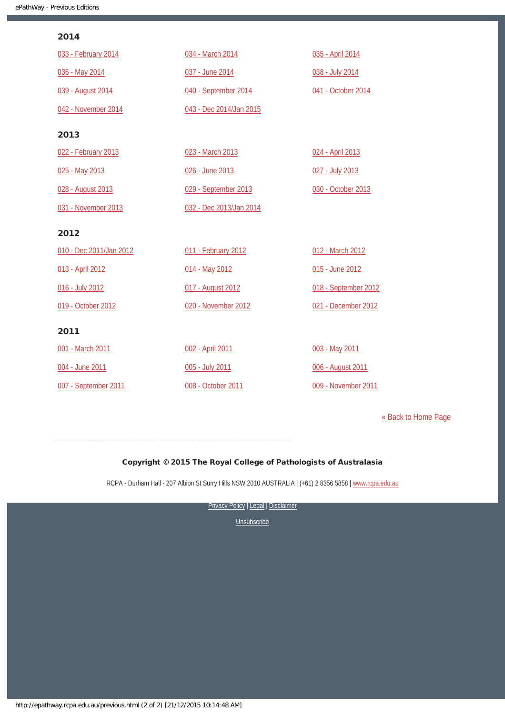#### 2014

| 033 - February 2014     | 034 - March 2014        | 035 - April 2014     |
|-------------------------|-------------------------|----------------------|
| 036 - May 2014          | 037 - June 2014         | 038 - July 2014      |
| 039 - August 2014       | 040 - September 2014    | 041 - October 2014   |
| 042 - November 2014     | 043 - Dec 2014/Jan 2015 |                      |
| 2013                    |                         |                      |
| 022 - February 2013     | 023 - March 2013        | 024 - April 2013     |
| 025 - May 2013          | 026 - June 2013         | 027 - July 2013      |
| 028 - August 2013       | 029 - September 2013    | 030 - October 2013   |
| 031 - November 2013     | 032 - Dec 2013/Jan 2014 |                      |
| 2012                    |                         |                      |
| 010 - Dec 2011/Jan 2012 | 011 - February 2012     | 012 - March 2012     |
| 013 - April 2012        | 014 - May 2012          | 015 - June 2012      |
| 016 - July 2012         | 017 - August 2012       | 018 - September 2012 |
| 019 - October 2012      | 020 - November 2012     | 021 - December 2012  |
| 2011                    |                         |                      |
| 001 - March 2011        | 002 - April 2011        | 003 - May 2011       |
| 004 - June 2011         | 005 - July 2011         | 006 - August 2011    |
| 007 - September 2011    | 008 - October 2011      | 009 - November 2011  |

[« Back to Home Page](http://epathway.rcpa.edu.au/index.html)

#### Copyright © 2015 The Royal College of Pathologists of Australasia

RCPA - Durham Hall - 207 Albion St Surry Hills NSW 2010 AUSTRALIA | (+61) 2 8356 5858 | [www.rcpa.edu.au](https://www.rcpa.edu.au/)

[Privacy Policy](https://www.rcpa.edu.au/Content-Library/Privacy.aspx) | [Legal](https://www.rcpa.edu.au/Legal.aspx) | Disclaimer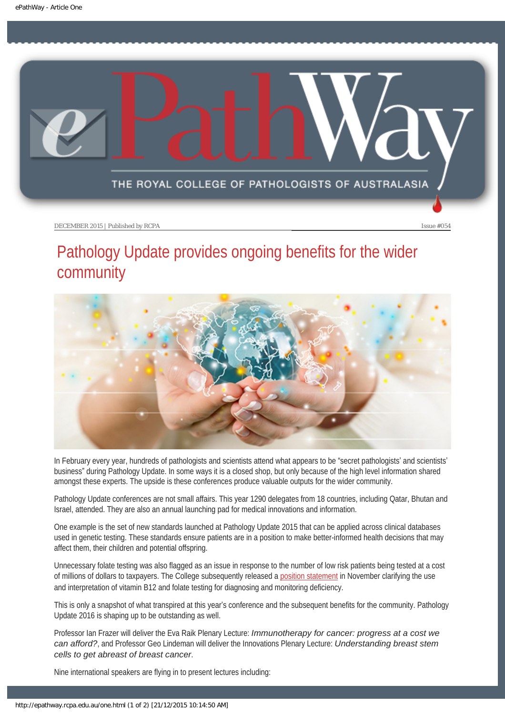<span id="page-5-0"></span>

# Pathology Update provides ongoing benefits for the wider community



In February every year, hundreds of pathologists and scientists attend what appears to be "secret pathologists' and scientists' business" during Pathology Update. In some ways it is a closed shop, but only because of the high level information shared amongst these experts. The upside is these conferences produce valuable outputs for the wider community.

Pathology Update conferences are not small affairs. This year 1290 delegates from 18 countries, including Qatar, Bhutan and Israel, attended. They are also an annual launching pad for medical innovations and information.

One example is the set of new standards launched at Pathology Update 2015 that can be applied across clinical databases used in genetic testing. These standards ensure patients are in a position to make better-informed health decisions that may affect them, their children and potential offspring.

Unnecessary folate testing was also flagged as an issue in response to the number of low risk patients being tested at a cost of millions of dollars to taxpayers. The College subsequently released a [position statement](https://www.rcpa.edu.au/Library/College-Policies/Position-Statements/Vitamin-and-B12-Folate-Testing-Use-and-Interpret) in November clarifying the use and interpretation of vitamin B12 and folate testing for diagnosing and monitoring deficiency.

This is only a snapshot of what transpired at this year's conference and the subsequent benefits for the community. Pathology Update 2016 is shaping up to be outstanding as well.

Professor Ian Frazer will deliver the Eva Raik Plenary Lecture: *Immunotherapy for cancer: progress at a cost we can afford?*, and Professor Geo Lindeman will deliver the Innovations Plenary Lecture: *Understanding breast stem cells to get abreast of breast cancer*.

Nine international speakers are flying in to present lectures including: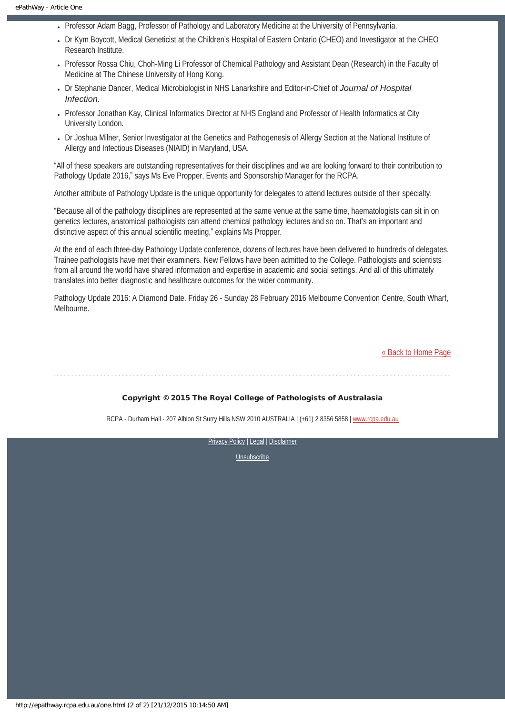- Professor Adam Bagg, Professor of Pathology and Laboratory Medicine at the University of Pennsylvania.
- Dr Kym Boycott, Medical Geneticist at the Children's Hospital of Eastern Ontario (CHEO) and Investigator at the CHEO Research Institute.
- Professor Rossa Chiu, Choh-Ming Li Professor of Chemical Pathology and Assistant Dean (Research) in the Faculty of Medicine at The Chinese University of Hong Kong.
- Dr Stephanie Dancer, Medical Microbiologist in NHS Lanarkshire and Editor-in-Chief of *Journal of Hospital Infection*.
- Professor Jonathan Kay, Clinical Informatics Director at NHS England and Professor of Health Informatics at City University London.
- Dr Joshua Milner, Senior Investigator at the Genetics and Pathogenesis of Allergy Section at the National Institute of Allergy and Infectious Diseases (NIAID) in Maryland, USA.

"All of these speakers are outstanding representatives for their disciplines and we are looking forward to their contribution to Pathology Update 2016," says Ms Eve Propper, Events and Sponsorship Manager for the RCPA.

Another attribute of Pathology Update is the unique opportunity for delegates to attend lectures outside of their specialty.

"Because all of the pathology disciplines are represented at the same venue at the same time, haematologists can sit in on genetics lectures, anatomical pathologists can attend chemical pathology lectures and so on. That's an important and distinctive aspect of this annual scientific meeting," explains Ms Propper.

At the end of each three-day Pathology Update conference, dozens of lectures have been delivered to hundreds of delegates. Trainee pathologists have met their examiners. New Fellows have been admitted to the College. Pathologists and scientists from all around the world have shared information and expertise in academic and social settings. And all of this ultimately translates into better diagnostic and healthcare outcomes for the wider community.

Pathology Update 2016: A Diamond Date. Friday 26 - Sunday 28 February 2016 Melbourne Convention Centre, South Wharf, Melbourne.

[« Back to Home Page](http://epathway.rcpa.edu.au/index.html)

#### Copyright © 2015 The Royal College of Pathologists of Australasia

RCPA - Durham Hall - 207 Albion St Surry Hills NSW 2010 AUSTRALIA | (+61) 2 8356 5858 | [www.rcpa.edu.au](https://www.rcpa.edu.au/)

[Privacy Policy](https://www.rcpa.edu.au/Content-Library/Privacy.aspx) | [Legal](https://www.rcpa.edu.au/Legal.aspx) | [Disclaimer](https://www.rcpa.edu.au/Disclaimer.aspx)  [Unsubscribe](http://epathway.rcpa.edu.au/subscription.html)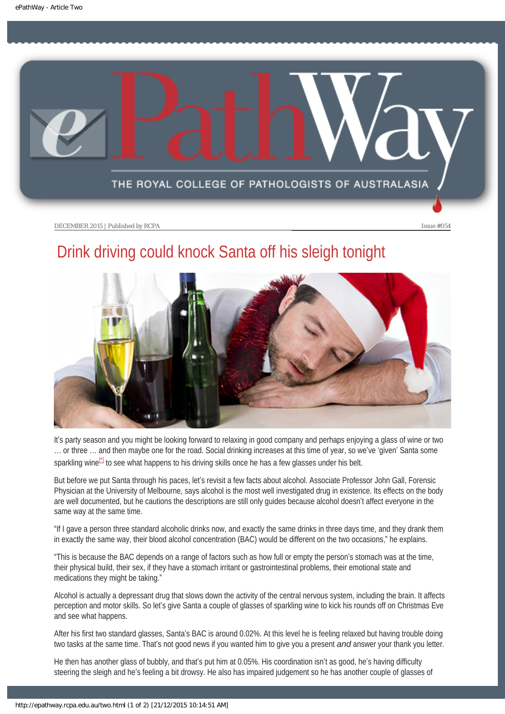<span id="page-7-0"></span>

# Drink driving could knock Santa off his sleigh tonight



It's party season and you might be looking forward to relaxing in good company and perhaps enjoying a glass of wine or two … or three … and then maybe one for the road. Social drinking increases at this time of year, so we've 'given' Santa some sparkling wine<sup>[1]</sup> to see what happens to his driving skills once he has a few glasses under his belt.

<span id="page-7-1"></span>But before we put Santa through his paces, let's revisit a few facts about alcohol. Associate Professor John Gall, Forensic Physician at the University of Melbourne, says alcohol is the most well investigated drug in existence. Its effects on the body are well documented, but he cautions the descriptions are still only guides because alcohol doesn't affect everyone in the same way at the same time.

"If I gave a person three standard alcoholic drinks now, and exactly the same drinks in three days time, and they drank them in exactly the same way, their blood alcohol concentration (BAC) would be different on the two occasions," he explains.

"This is because the BAC depends on a range of factors such as how full or empty the person's stomach was at the time, their physical build, their sex, if they have a stomach irritant or gastrointestinal problems, their emotional state and medications they might be taking."

Alcohol is actually a depressant drug that slows down the activity of the central nervous system, including the brain. It affects perception and motor skills. So let's give Santa a couple of glasses of sparkling wine to kick his rounds off on Christmas Eve and see what happens.

After his first two standard glasses, Santa's BAC is around 0.02%. At this level he is feeling relaxed but having trouble doing two tasks at the same time. That's not good news if you wanted him to give you a present *and* answer your thank you letter.

He then has another glass of bubbly, and that's put him at 0.05%. His coordination isn't as good, he's having difficulty steering the sleigh and he's feeling a bit drowsy. He also has impaired judgement so he has another couple of glasses of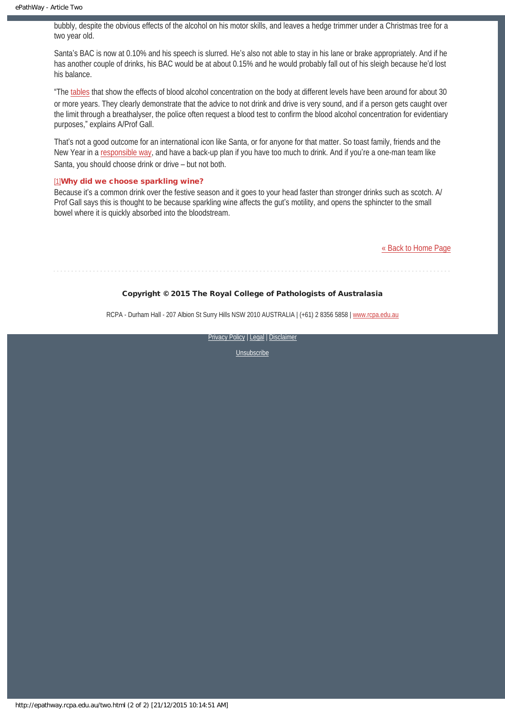bubbly, despite the obvious effects of the alcohol on his motor skills, and leaves a hedge trimmer under a Christmas tree for a two year old.

Santa's BAC is now at 0.10% and his speech is slurred. He's also not able to stay in his lane or brake appropriately. And if he has another couple of drinks, his BAC would be at about 0.15% and he would probably fall out of his sleigh because he'd lost his balance.

"The [tables](http://www.cdc.gov/motorvehiclesafety/impaired_driving/bac.html) that show the effects of blood alcohol concentration on the body at different levels have been around for about 30 or more years. They clearly demonstrate that the advice to not drink and drive is very sound, and if a person gets caught over the limit through a breathalyser, the police often request a blood test to confirm the blood alcohol concentration for evidentiary purposes," explains A/Prof Gall.

That's not a good outcome for an international icon like Santa, or for anyone for that matter. So toast family, friends and the New Year in a [responsible way,](http://www.alcohol.gov.au/internet/alcohol/publishing.nsf/Content/C6738D5F231CC231CA25767200820337/$File/young.pdf) and have a back-up plan if you have too much to drink. And if you're a one-man team like Santa, you should choose drink or drive – but not both.

#### <span id="page-8-0"></span>[\[1\]](#page-7-1)Why did we choose sparkling wine?

Because it's a common drink over the festive season and it goes to your head faster than stronger drinks such as scotch. A/ Prof Gall says this is thought to be because sparkling wine affects the gut's motility, and opens the sphincter to the small bowel where it is quickly absorbed into the bloodstream.

[« Back to Home Page](http://epathway.rcpa.edu.au/index.html)

#### Copyright © 2015 The Royal College of Pathologists of Australasia

RCPA - Durham Hall - 207 Albion St Surry Hills NSW 2010 AUSTRALIA | (+61) 2 8356 5858 | [www.rcpa.edu.au](https://www.rcpa.edu.au/)

[Privacy Policy](https://www.rcpa.edu.au/Content-Library/Privacy.aspx) | [Legal](https://www.rcpa.edu.au/Legal.aspx) | Disclaimer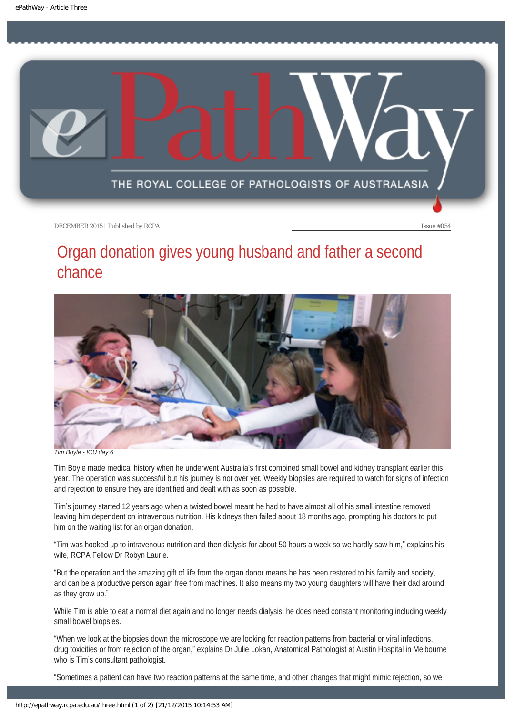<span id="page-9-0"></span>

# Organ donation gives young husband and father a second chance



*Tim Boyle - ICU day 6*

Tim Boyle made medical history when he underwent Australia's first combined small bowel and kidney transplant earlier this year. The operation was successful but his journey is not over yet. Weekly biopsies are required to watch for signs of infection and rejection to ensure they are identified and dealt with as soon as possible.

Tim's journey started 12 years ago when a twisted bowel meant he had to have almost all of his small intestine removed leaving him dependent on intravenous nutrition. His kidneys then failed about 18 months ago, prompting his doctors to put him on the waiting list for an organ donation.

"Tim was hooked up to intravenous nutrition and then dialysis for about 50 hours a week so we hardly saw him," explains his wife, RCPA Fellow Dr Robyn Laurie.

"But the operation and the amazing gift of life from the organ donor means he has been restored to his family and society, and can be a productive person again free from machines. It also means my two young daughters will have their dad around as they grow up."

While Tim is able to eat a normal diet again and no longer needs dialysis, he does need constant monitoring including weekly small bowel biopsies.

"When we look at the biopsies down the microscope we are looking for reaction patterns from bacterial or viral infections, drug toxicities or from rejection of the organ," explains Dr Julie Lokan, Anatomical Pathologist at Austin Hospital in Melbourne who is Tim's consultant pathologist.

"Sometimes a patient can have two reaction patterns at the same time, and other changes that might mimic rejection, so we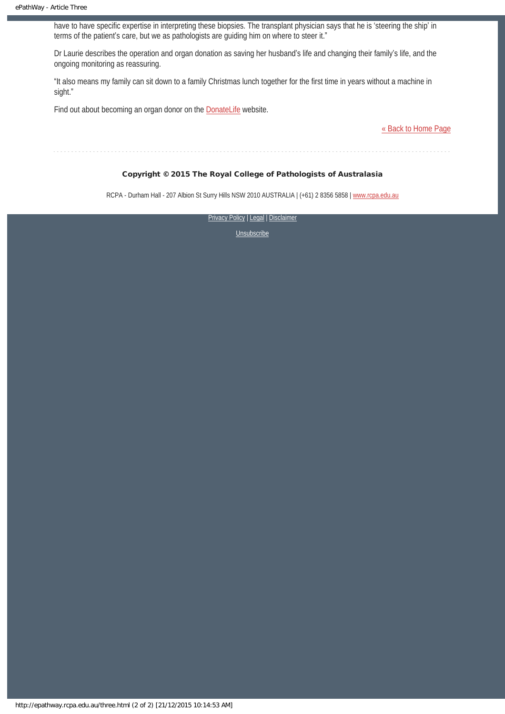have to have specific expertise in interpreting these biopsies. The transplant physician says that he is 'steering the ship' in terms of the patient's care, but we as pathologists are guiding him on where to steer it."

Dr Laurie describes the operation and organ donation as saving her husband's life and changing their family's life, and the ongoing monitoring as reassuring.

"It also means my family can sit down to a family Christmas lunch together for the first time in years without a machine in sight."

Find out about becoming an organ donor on the **[DonateLife](http://www.donatelife.gov.au/)** website.

[« Back to Home Page](http://epathway.rcpa.edu.au/index.html)

#### Copyright © 2015 The Royal College of Pathologists of Australasia

RCPA - Durham Hall - 207 Albion St Surry Hills NSW 2010 AUSTRALIA | (+61) 2 8356 5858 | [www.rcpa.edu.au](https://www.rcpa.edu.au/)

[Privacy Policy](https://www.rcpa.edu.au/Content-Library/Privacy.aspx) | [Legal](https://www.rcpa.edu.au/Legal.aspx) | Disclaimer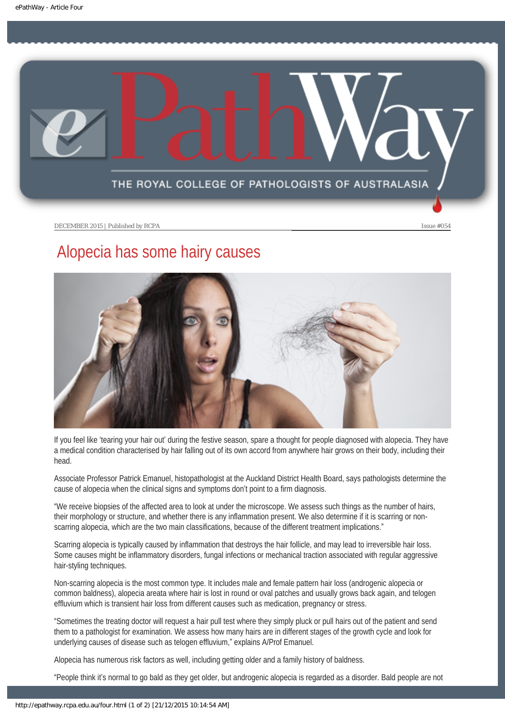<span id="page-11-0"></span>

# Alopecia has some hairy causes



If you feel like 'tearing your hair out' during the festive season, spare a thought for people diagnosed with alopecia. They have a medical condition characterised by hair falling out of its own accord from anywhere hair grows on their body, including their head.

Associate Professor Patrick Emanuel, histopathologist at the Auckland District Health Board, says pathologists determine the cause of alopecia when the clinical signs and symptoms don't point to a firm diagnosis.

"We receive biopsies of the affected area to look at under the microscope. We assess such things as the number of hairs, their morphology or structure, and whether there is any inflammation present. We also determine if it is scarring or nonscarring alopecia, which are the two main classifications, because of the different treatment implications."

Scarring alopecia is typically caused by inflammation that destroys the hair follicle, and may lead to irreversible hair loss. Some causes might be inflammatory disorders, fungal infections or mechanical traction associated with regular aggressive hair-styling techniques.

Non-scarring alopecia is the most common type. It includes male and female pattern hair loss (androgenic alopecia or common baldness), alopecia areata where hair is lost in round or oval patches and usually grows back again, and telogen effluvium which is transient hair loss from different causes such as medication, pregnancy or stress.

"Sometimes the treating doctor will request a hair pull test where they simply pluck or pull hairs out of the patient and send them to a pathologist for examination. We assess how many hairs are in different stages of the growth cycle and look for underlying causes of disease such as telogen effluvium," explains A/Prof Emanuel.

Alopecia has numerous risk factors as well, including getting older and a family history of baldness.

"People think it's normal to go bald as they get older, but androgenic alopecia is regarded as a disorder. Bald people are not